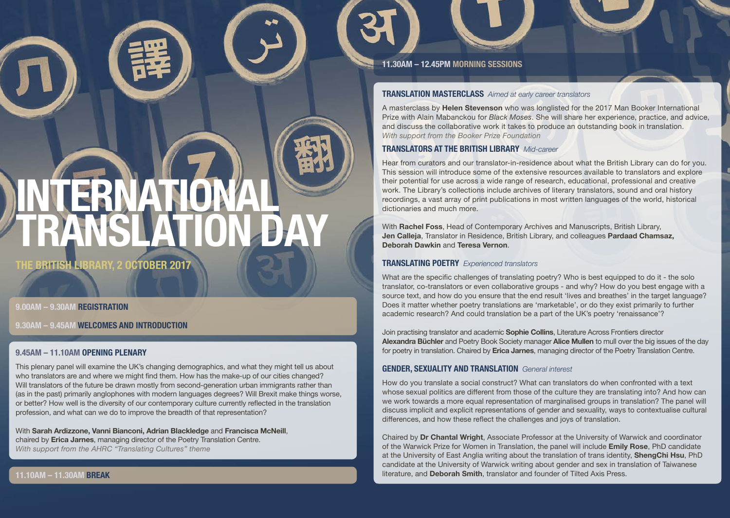### **11.30AM – 12.45PM MORNING SESSIONS**

## **TRANSLATION MASTERCLASS** *Aimed at early career translators*

A masterclass by **Helen Stevenson** who was longlisted for the 2017 Man Booker International Prize with Alain Mabanckou for *Black Moses*. She will share her experience, practice, and advice, and discuss the collaborative work it takes to produce an outstanding book in translation. *With support from the Booker Prize Foundation*

# **TRANSLATORS AT THE BRITISH LIBRARY** *Mid-career*

Hear from curators and our translator-in-residence about what the British Library can do for you. This session will introduce some of the extensive resources available to translators and explore their potential for use across a wide range of research, educational, professional and creative work. The Library's collections include archives of literary translators, sound and oral history recordings, a vast array of print publications in most written languages of the world, historical dictionaries and much more.

With **Rachel Foss**, Head of Contemporary Archives and Manuscripts, British Library, **Jen Calleja**, Translator in Residence, British Library, and colleagues **Pardaad Chamsaz, Deborah Dawkin** and **Teresa Vernon**.

# **TRANSLATING POETRY** *Experienced translators*

What are the specific challenges of translating poetry? Who is best equipped to do it - the solo translator, co-translators or even collaborative groups - and why? How do you best engage with a source text, and how do you ensure that the end result 'lives and breathes' in the target language? Does it matter whether poetry translations are 'marketable', or do they exist primarily to further academic research? And could translation be a part of the UK's poetry 'renaissance'?

Join practising translator and academic **Sophie Collins**, Literature Across Frontiers director **Alexandra Büchler** and Poetry Book Society manager **Alice Mullen** to mull over the big issues of the day for poetry in translation. Chaired by **Erica Jarnes**, managing director of the Poetry Translation Centre.

# **GENDER, SEXUALITY AND TRANSLATION** *General interest*

How do you translate a social construct? What can translators do when confronted with a text whose sexual politics are different from those of the culture they are translating into? And how can we work towards a more equal representation of marginalised groups in translation? The panel will discuss implicit and explicit representations of gender and sexuality, ways to contextualise cultural differences, and how these reflect the challenges and joys of translation.

Chaired by **Dr Chantal Wright**, Associate Professor at the University of Warwick and coordinator of the Warwick Prize for Women in Translation, the panel will include **Emily Rose**, PhD candidate at the University of East Anglia writing about the translation of trans identity, **ShengChi Hsu**, PhD candidate at the University of Warwick writing about gender and sex in translation of Taiwanese literature, and **Deborah Smith**, translator and founder of Tilted Axis Press.

# **INTERNATIONAL TRANSLATION DAY**

**THE BRITISH LIBRARY, 2 OCTOBER 2017**

# **9.00AM – 9.30AM REGISTRATION**

**9.30AM – 9.45AM WELCOMES AND INTRODUCTION**

# **9.45AM – 11.10AM OPENING PLENARY**

This plenary panel will examine the UK's changing demographics, and what they might tell us about who translators are and where we might find them. How has the make-up of our cities changed? Will translators of the future be drawn mostly from second-generation urban immigrants rather than (as in the past) primarily anglophones with modern languages degrees? Will Brexit make things worse, or better? How well is the diversity of our contemporary culture currently reflected in the translation profession, and what can we do to improve the breadth of that representation?

With **Sarah Ardizzone, Vanni Bianconi, Adrian Blackledge** and **Francisca McNeill**, chaired by **Erica Jarnes**, managing director of the Poetry Translation Centre. *With support from the AHRC "Translating Cultures" theme*